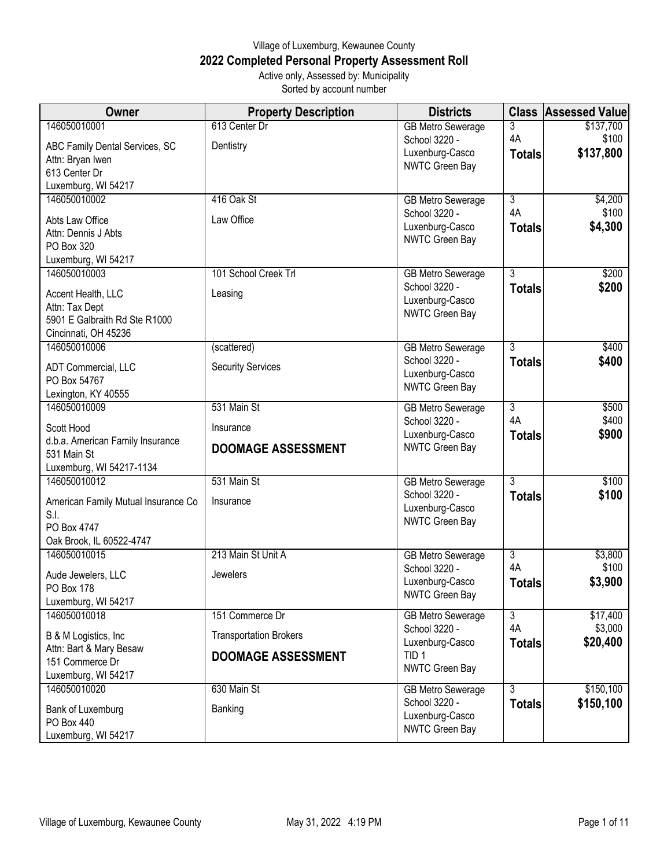## Village of Luxemburg, Kewaunee County **2022 Completed Personal Property Assessment Roll** Active only, Assessed by: Municipality

Sorted by account number

| <b>Owner</b>                                     | <b>Property Description</b>   | <b>Districts</b>         | <b>Class</b>   | <b>Assessed Value</b> |
|--------------------------------------------------|-------------------------------|--------------------------|----------------|-----------------------|
| 146050010001                                     | 613 Center Dr                 | <b>GB Metro Sewerage</b> | 3              | \$137,700             |
| ABC Family Dental Services, SC                   | Dentistry                     | School 3220 -            | 4A             | \$100                 |
| Attn: Bryan Iwen                                 |                               | Luxenburg-Casco          | <b>Totals</b>  | \$137,800             |
| 613 Center Dr                                    |                               | NWTC Green Bay           |                |                       |
| Luxemburg, WI 54217                              |                               |                          |                |                       |
| 146050010002                                     | 416 Oak St                    | <b>GB Metro Sewerage</b> | 3              | \$4,200               |
| Abts Law Office                                  | Law Office                    | School 3220 -            | 4A             | \$100                 |
| Attn: Dennis J Abts                              |                               | Luxenburg-Casco          | <b>Totals</b>  | \$4,300               |
| PO Box 320                                       |                               | NWTC Green Bay           |                |                       |
| Luxemburg, WI 54217                              |                               |                          |                |                       |
| 146050010003                                     | 101 School Creek Trl          | <b>GB Metro Sewerage</b> | $\overline{3}$ | \$200                 |
| Accent Health, LLC                               | Leasing                       | School 3220 -            | <b>Totals</b>  | \$200                 |
| Attn: Tax Dept                                   |                               | Luxenburg-Casco          |                |                       |
| 5901 E Galbraith Rd Ste R1000                    |                               | NWTC Green Bay           |                |                       |
| Cincinnati, OH 45236                             |                               |                          |                |                       |
| 146050010006                                     | (scattered)                   | <b>GB Metro Sewerage</b> | $\overline{3}$ | \$400                 |
| ADT Commercial, LLC                              | <b>Security Services</b>      | School 3220 -            | <b>Totals</b>  | \$400                 |
| PO Box 54767                                     |                               | Luxenburg-Casco          |                |                       |
| Lexington, KY 40555                              |                               | NWTC Green Bay           |                |                       |
| 146050010009                                     | 531 Main St                   | <b>GB Metro Sewerage</b> | 3              | \$500                 |
|                                                  |                               | School 3220 -            | 4A             | \$400                 |
| Scott Hood<br>d.b.a. American Family Insurance   | Insurance                     | Luxenburg-Casco          | <b>Totals</b>  | \$900                 |
| 531 Main St                                      | <b>DOOMAGE ASSESSMENT</b>     | NWTC Green Bay           |                |                       |
| Luxemburg, WI 54217-1134                         |                               |                          |                |                       |
| 146050010012                                     | 531 Main St                   | <b>GB Metro Sewerage</b> | 3              | \$100                 |
| American Family Mutual Insurance Co              | Insurance                     | School 3220 -            | <b>Totals</b>  | \$100                 |
| S.I.                                             |                               | Luxenburg-Casco          |                |                       |
| PO Box 4747                                      |                               | NWTC Green Bay           |                |                       |
| Oak Brook, IL 60522-4747                         |                               |                          |                |                       |
| 146050010015                                     | 213 Main St Unit A            | <b>GB Metro Sewerage</b> | 3              | \$3,800               |
| Aude Jewelers, LLC                               | Jewelers                      | School 3220 -            | 4A             | \$100                 |
| PO Box 178                                       |                               | Luxenburg-Casco          | <b>Totals</b>  | \$3,900               |
| Luxemburg, WI 54217                              |                               | <b>NWTC Green Bay</b>    |                |                       |
| 146050010018                                     | 151 Commerce Dr               | <b>GB Metro Sewerage</b> | 3              | \$17,400              |
|                                                  | <b>Transportation Brokers</b> | School 3220 -            | 4A             | \$3,000               |
| B & M Logistics, Inc.<br>Attn: Bart & Mary Besaw |                               | Luxenburg-Casco          | <b>Totals</b>  | \$20,400              |
| 151 Commerce Dr                                  | <b>DOOMAGE ASSESSMENT</b>     | TID <sub>1</sub>         |                |                       |
| Luxemburg, WI 54217                              |                               | NWTC Green Bay           |                |                       |
| 146050010020                                     | 630 Main St                   | <b>GB Metro Sewerage</b> | $\overline{3}$ | \$150,100             |
|                                                  | Banking                       | School 3220 -            | <b>Totals</b>  | \$150,100             |
| Bank of Luxemburg<br>PO Box 440                  |                               | Luxenburg-Casco          |                |                       |
| Luxemburg, WI 54217                              |                               | NWTC Green Bay           |                |                       |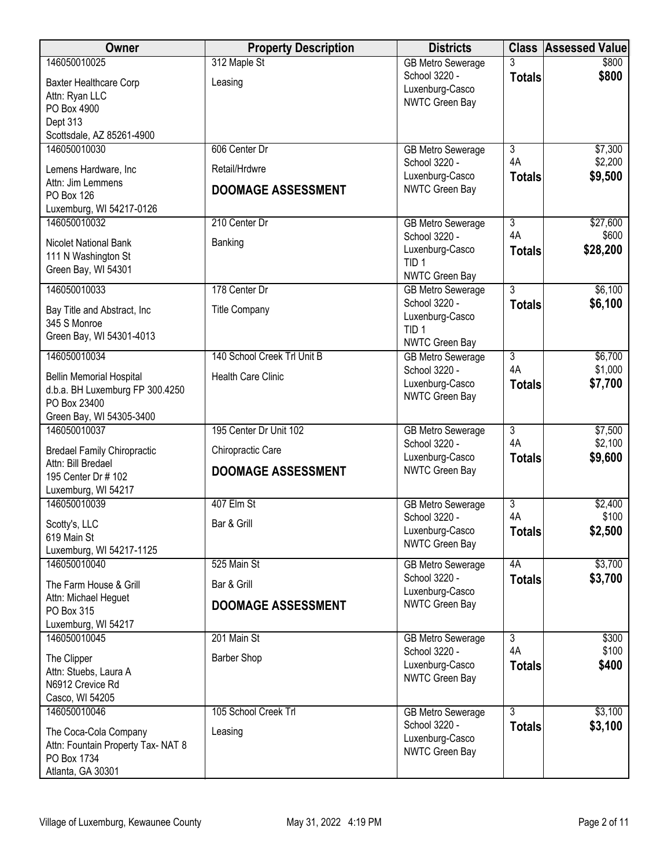| <b>Owner</b>                                                                                                     | <b>Property Description</b>                | <b>Districts</b>                                                               | <b>Class</b>              | <b>Assessed Value</b> |
|------------------------------------------------------------------------------------------------------------------|--------------------------------------------|--------------------------------------------------------------------------------|---------------------------|-----------------------|
| 146050010025<br>Baxter Healthcare Corp<br>Attn: Ryan LLC<br>PO Box 4900<br>Dept 313<br>Scottsdale, AZ 85261-4900 | 312 Maple St<br>Leasing                    | <b>GB Metro Sewerage</b><br>School 3220 -<br>Luxenburg-Casco<br>NWTC Green Bay | <b>Totals</b>             | \$800<br>\$800        |
| 146050010030                                                                                                     | 606 Center Dr                              | <b>GB Metro Sewerage</b>                                                       | $\overline{3}$            | \$7,300               |
| Lemens Hardware, Inc<br>Attn: Jim Lemmens<br>PO Box 126<br>Luxemburg, WI 54217-0126                              | Retail/Hrdwre<br><b>DOOMAGE ASSESSMENT</b> | School 3220 -<br>Luxenburg-Casco<br>NWTC Green Bay                             | 4A<br><b>Totals</b>       | \$2,200<br>\$9,500    |
| 146050010032                                                                                                     | 210 Center Dr                              | <b>GB Metro Sewerage</b>                                                       | $\overline{\overline{3}}$ | \$27,600              |
| Nicolet National Bank<br>111 N Washington St<br>Green Bay, WI 54301                                              | Banking                                    | School 3220 -<br>Luxenburg-Casco<br>TID <sub>1</sub><br>NWTC Green Bay         | 4A<br><b>Totals</b>       | \$600<br>\$28,200     |
| 146050010033                                                                                                     | 178 Center Dr                              | <b>GB Metro Sewerage</b>                                                       | $\overline{3}$            | \$6,100               |
| Bay Title and Abstract, Inc<br>345 S Monroe<br>Green Bay, WI 54301-4013                                          | <b>Title Company</b>                       | School 3220 -<br>Luxenburg-Casco<br>TID <sub>1</sub><br>NWTC Green Bay         | <b>Totals</b>             | \$6,100               |
| 146050010034                                                                                                     | 140 School Creek Trl Unit B                | <b>GB Metro Sewerage</b>                                                       | $\overline{3}$            | \$6,700               |
| <b>Bellin Memorial Hospital</b><br>d.b.a. BH Luxemburg FP 300.4250<br>PO Box 23400<br>Green Bay, WI 54305-3400   | <b>Health Care Clinic</b>                  | School 3220 -<br>Luxenburg-Casco<br>NWTC Green Bay                             | 4A<br><b>Totals</b>       | \$1,000<br>\$7,700    |
| 146050010037                                                                                                     | 195 Center Dr Unit 102                     | <b>GB Metro Sewerage</b>                                                       | 3                         | \$7,500               |
| <b>Bredael Family Chiropractic</b>                                                                               | Chiropractic Care                          | School 3220 -<br>Luxenburg-Casco                                               | 4A<br><b>Totals</b>       | \$2,100<br>\$9,600    |
| Attn: Bill Bredael<br>195 Center Dr # 102<br>Luxemburg, WI 54217                                                 | <b>DOOMAGE ASSESSMENT</b>                  | NWTC Green Bay                                                                 |                           |                       |
| 146050010039                                                                                                     | 407 Elm St                                 | <b>GB Metro Sewerage</b><br>School 3220 -                                      | 3<br>4A                   | \$2,400<br>\$100      |
| Scotty's, LLC<br>619 Main St<br>Luxemburg, WI 54217-1125                                                         | Bar & Grill                                | Luxenburg-Casco<br>NWTC Green Bay                                              | <b>Totals</b>             | \$2,500               |
| 146050010040                                                                                                     | 525 Main St                                | <b>GB Metro Sewerage</b>                                                       | 4A                        | \$3,700               |
| The Farm House & Grill                                                                                           | Bar & Grill                                | School 3220 -<br>Luxenburg-Casco                                               | <b>Totals</b>             | \$3,700               |
| Attn: Michael Heguet<br>PO Box 315<br>Luxemburg, WI 54217                                                        | <b>DOOMAGE ASSESSMENT</b>                  | NWTC Green Bay                                                                 |                           |                       |
| 146050010045                                                                                                     | 201 Main St                                | <b>GB Metro Sewerage</b>                                                       | $\overline{3}$            | \$300                 |
| The Clipper<br>Attn: Stuebs, Laura A<br>N6912 Crevice Rd<br>Casco, WI 54205                                      | <b>Barber Shop</b>                         | School 3220 -<br>Luxenburg-Casco<br>NWTC Green Bay                             | 4A<br><b>Totals</b>       | \$100<br>\$400        |
| 146050010046                                                                                                     | 105 School Creek Trl                       | <b>GB Metro Sewerage</b>                                                       | $\overline{3}$            | \$3,100               |
| The Coca-Cola Company<br>Attn: Fountain Property Tax- NAT 8<br>PO Box 1734<br>Atlanta, GA 30301                  | Leasing                                    | School 3220 -<br>Luxenburg-Casco<br>NWTC Green Bay                             | <b>Totals</b>             | \$3,100               |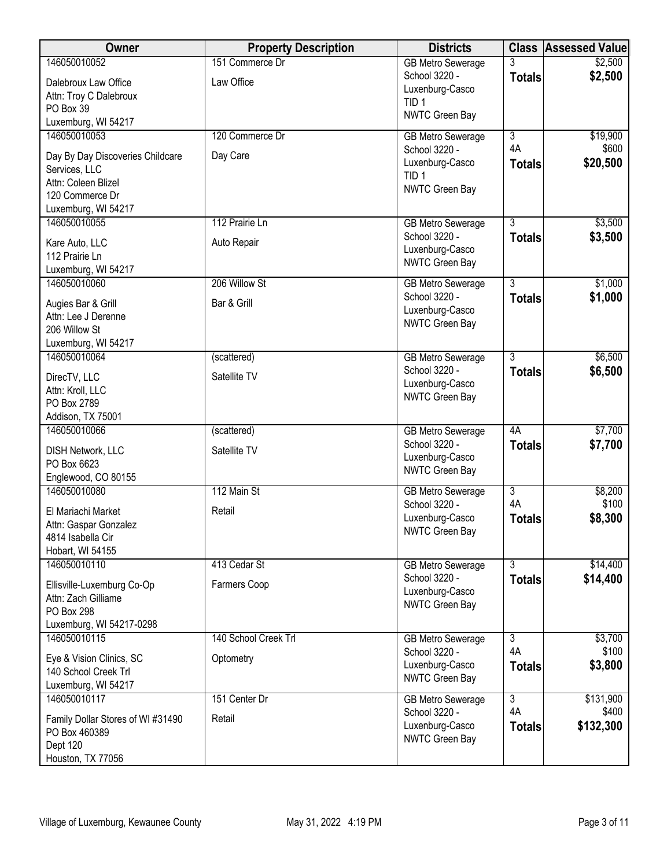| 146050010052<br>151 Commerce Dr<br>\$2,500<br><b>GB Metro Sewerage</b><br>School 3220 -<br>\$2,500<br><b>Totals</b><br>Law Office<br>Dalebroux Law Office<br>Luxenburg-Casco<br>Attn: Troy C Dalebroux<br>TID <sub>1</sub><br>PO Box 39<br>NWTC Green Bay<br>Luxemburg, WI 54217<br>146050010053<br>120 Commerce Dr<br>$\overline{3}$<br>\$19,900<br><b>GB Metro Sewerage</b><br>4A<br>\$600<br>School 3220 -<br>Day Care<br>Day By Day Discoveries Childcare<br>\$20,500<br>Luxenburg-Casco<br><b>Totals</b><br>Services, LLC<br>TID <sub>1</sub><br>Attn: Coleen Blizel<br>NWTC Green Bay<br>120 Commerce Dr<br>Luxemburg, WI 54217<br>$\overline{3}$<br>\$3,500<br>146050010055<br>112 Prairie Ln<br><b>GB Metro Sewerage</b><br>School 3220 -<br>\$3,500<br><b>Totals</b><br>Auto Repair<br>Kare Auto, LLC<br>Luxenburg-Casco<br>112 Prairie Ln<br>NWTC Green Bay<br>Luxemburg, WI 54217<br>206 Willow St<br>$\overline{3}$<br>\$1,000<br>146050010060<br><b>GB Metro Sewerage</b><br>\$1,000<br>School 3220 -<br><b>Totals</b><br>Bar & Grill<br>Augies Bar & Grill<br>Luxenburg-Casco<br>Attn: Lee J Derenne<br><b>NWTC Green Bay</b><br>206 Willow St<br>Luxemburg, WI 54217<br>146050010064<br>$\overline{3}$<br>\$6,500<br><b>GB Metro Sewerage</b><br>(scattered)<br>School 3220 -<br>\$6,500<br><b>Totals</b><br>Satellite TV<br>DirecTV, LLC<br>Luxenburg-Casco<br>Attn: Kroll, LLC<br>NWTC Green Bay<br>PO Box 2789<br>Addison, TX 75001<br>\$7,700<br>146050010066<br>(scattered)<br><b>GB Metro Sewerage</b><br>4A<br>School 3220 -<br>\$7,700<br><b>Totals</b><br>Satellite TV<br>DISH Network, LLC<br>Luxenburg-Casco<br>PO Box 6623<br>NWTC Green Bay<br>Englewood, CO 80155<br>146050010080<br>112 Main St<br>$\overline{3}$<br>\$8,200<br><b>GB Metro Sewerage</b><br>4A<br>\$100<br>School 3220 -<br>El Mariachi Market<br>Retail<br>Luxenburg-Casco<br>\$8,300<br><b>Totals</b><br>Attn: Gaspar Gonzalez<br><b>NWTC Green Bay</b><br>4814 Isabella Cir<br>Hobart, WI 54155<br>$\overline{3}$<br>146050010110<br>413 Cedar St<br>\$14,400<br><b>GB Metro Sewerage</b><br>School 3220 -<br>\$14,400<br><b>Totals</b><br>Ellisville-Luxemburg Co-Op<br>Farmers Coop<br>Luxenburg-Casco<br>Attn: Zach Gilliame<br>NWTC Green Bay<br>PO Box 298<br>Luxemburg, WI 54217-0298<br>140 School Creek Trl<br>\$3,700<br>146050010115<br>$\overline{3}$<br><b>GB Metro Sewerage</b><br>4A<br>\$100<br>School 3220 -<br>Eye & Vision Clinics, SC<br>Optometry<br>\$3,800<br>Luxenburg-Casco<br><b>Totals</b><br>140 School Creek Trl<br>NWTC Green Bay<br>Luxemburg, WI 54217<br>146050010117<br>151 Center Dr<br>$\overline{3}$<br>\$131,900<br><b>GB Metro Sewerage</b><br>4A<br>School 3220 -<br>\$400<br>Family Dollar Stores of WI #31490<br>Retail<br>Luxenburg-Casco<br>\$132,300<br><b>Totals</b><br>PO Box 460389<br>NWTC Green Bay<br>Dept 120 | Owner             | <b>Property Description</b> | <b>Districts</b> | <b>Class Assessed Value</b> |
|-------------------------------------------------------------------------------------------------------------------------------------------------------------------------------------------------------------------------------------------------------------------------------------------------------------------------------------------------------------------------------------------------------------------------------------------------------------------------------------------------------------------------------------------------------------------------------------------------------------------------------------------------------------------------------------------------------------------------------------------------------------------------------------------------------------------------------------------------------------------------------------------------------------------------------------------------------------------------------------------------------------------------------------------------------------------------------------------------------------------------------------------------------------------------------------------------------------------------------------------------------------------------------------------------------------------------------------------------------------------------------------------------------------------------------------------------------------------------------------------------------------------------------------------------------------------------------------------------------------------------------------------------------------------------------------------------------------------------------------------------------------------------------------------------------------------------------------------------------------------------------------------------------------------------------------------------------------------------------------------------------------------------------------------------------------------------------------------------------------------------------------------------------------------------------------------------------------------------------------------------------------------------------------------------------------------------------------------------------------------------------------------------------------------------------------------------------------------------------------------------------------------------------------------------------------------------------------------------------------------------------------------------------------------------------------------------------------------------------------------------------------------------------------------------------------------------------------------------------------------|-------------------|-----------------------------|------------------|-----------------------------|
|                                                                                                                                                                                                                                                                                                                                                                                                                                                                                                                                                                                                                                                                                                                                                                                                                                                                                                                                                                                                                                                                                                                                                                                                                                                                                                                                                                                                                                                                                                                                                                                                                                                                                                                                                                                                                                                                                                                                                                                                                                                                                                                                                                                                                                                                                                                                                                                                                                                                                                                                                                                                                                                                                                                                                                                                                                                                   |                   |                             |                  |                             |
|                                                                                                                                                                                                                                                                                                                                                                                                                                                                                                                                                                                                                                                                                                                                                                                                                                                                                                                                                                                                                                                                                                                                                                                                                                                                                                                                                                                                                                                                                                                                                                                                                                                                                                                                                                                                                                                                                                                                                                                                                                                                                                                                                                                                                                                                                                                                                                                                                                                                                                                                                                                                                                                                                                                                                                                                                                                                   |                   |                             |                  |                             |
|                                                                                                                                                                                                                                                                                                                                                                                                                                                                                                                                                                                                                                                                                                                                                                                                                                                                                                                                                                                                                                                                                                                                                                                                                                                                                                                                                                                                                                                                                                                                                                                                                                                                                                                                                                                                                                                                                                                                                                                                                                                                                                                                                                                                                                                                                                                                                                                                                                                                                                                                                                                                                                                                                                                                                                                                                                                                   |                   |                             |                  |                             |
|                                                                                                                                                                                                                                                                                                                                                                                                                                                                                                                                                                                                                                                                                                                                                                                                                                                                                                                                                                                                                                                                                                                                                                                                                                                                                                                                                                                                                                                                                                                                                                                                                                                                                                                                                                                                                                                                                                                                                                                                                                                                                                                                                                                                                                                                                                                                                                                                                                                                                                                                                                                                                                                                                                                                                                                                                                                                   |                   |                             |                  |                             |
|                                                                                                                                                                                                                                                                                                                                                                                                                                                                                                                                                                                                                                                                                                                                                                                                                                                                                                                                                                                                                                                                                                                                                                                                                                                                                                                                                                                                                                                                                                                                                                                                                                                                                                                                                                                                                                                                                                                                                                                                                                                                                                                                                                                                                                                                                                                                                                                                                                                                                                                                                                                                                                                                                                                                                                                                                                                                   |                   |                             |                  |                             |
|                                                                                                                                                                                                                                                                                                                                                                                                                                                                                                                                                                                                                                                                                                                                                                                                                                                                                                                                                                                                                                                                                                                                                                                                                                                                                                                                                                                                                                                                                                                                                                                                                                                                                                                                                                                                                                                                                                                                                                                                                                                                                                                                                                                                                                                                                                                                                                                                                                                                                                                                                                                                                                                                                                                                                                                                                                                                   |                   |                             |                  |                             |
|                                                                                                                                                                                                                                                                                                                                                                                                                                                                                                                                                                                                                                                                                                                                                                                                                                                                                                                                                                                                                                                                                                                                                                                                                                                                                                                                                                                                                                                                                                                                                                                                                                                                                                                                                                                                                                                                                                                                                                                                                                                                                                                                                                                                                                                                                                                                                                                                                                                                                                                                                                                                                                                                                                                                                                                                                                                                   |                   |                             |                  |                             |
|                                                                                                                                                                                                                                                                                                                                                                                                                                                                                                                                                                                                                                                                                                                                                                                                                                                                                                                                                                                                                                                                                                                                                                                                                                                                                                                                                                                                                                                                                                                                                                                                                                                                                                                                                                                                                                                                                                                                                                                                                                                                                                                                                                                                                                                                                                                                                                                                                                                                                                                                                                                                                                                                                                                                                                                                                                                                   |                   |                             |                  |                             |
|                                                                                                                                                                                                                                                                                                                                                                                                                                                                                                                                                                                                                                                                                                                                                                                                                                                                                                                                                                                                                                                                                                                                                                                                                                                                                                                                                                                                                                                                                                                                                                                                                                                                                                                                                                                                                                                                                                                                                                                                                                                                                                                                                                                                                                                                                                                                                                                                                                                                                                                                                                                                                                                                                                                                                                                                                                                                   |                   |                             |                  |                             |
|                                                                                                                                                                                                                                                                                                                                                                                                                                                                                                                                                                                                                                                                                                                                                                                                                                                                                                                                                                                                                                                                                                                                                                                                                                                                                                                                                                                                                                                                                                                                                                                                                                                                                                                                                                                                                                                                                                                                                                                                                                                                                                                                                                                                                                                                                                                                                                                                                                                                                                                                                                                                                                                                                                                                                                                                                                                                   |                   |                             |                  |                             |
|                                                                                                                                                                                                                                                                                                                                                                                                                                                                                                                                                                                                                                                                                                                                                                                                                                                                                                                                                                                                                                                                                                                                                                                                                                                                                                                                                                                                                                                                                                                                                                                                                                                                                                                                                                                                                                                                                                                                                                                                                                                                                                                                                                                                                                                                                                                                                                                                                                                                                                                                                                                                                                                                                                                                                                                                                                                                   |                   |                             |                  |                             |
|                                                                                                                                                                                                                                                                                                                                                                                                                                                                                                                                                                                                                                                                                                                                                                                                                                                                                                                                                                                                                                                                                                                                                                                                                                                                                                                                                                                                                                                                                                                                                                                                                                                                                                                                                                                                                                                                                                                                                                                                                                                                                                                                                                                                                                                                                                                                                                                                                                                                                                                                                                                                                                                                                                                                                                                                                                                                   |                   |                             |                  |                             |
|                                                                                                                                                                                                                                                                                                                                                                                                                                                                                                                                                                                                                                                                                                                                                                                                                                                                                                                                                                                                                                                                                                                                                                                                                                                                                                                                                                                                                                                                                                                                                                                                                                                                                                                                                                                                                                                                                                                                                                                                                                                                                                                                                                                                                                                                                                                                                                                                                                                                                                                                                                                                                                                                                                                                                                                                                                                                   |                   |                             |                  |                             |
|                                                                                                                                                                                                                                                                                                                                                                                                                                                                                                                                                                                                                                                                                                                                                                                                                                                                                                                                                                                                                                                                                                                                                                                                                                                                                                                                                                                                                                                                                                                                                                                                                                                                                                                                                                                                                                                                                                                                                                                                                                                                                                                                                                                                                                                                                                                                                                                                                                                                                                                                                                                                                                                                                                                                                                                                                                                                   |                   |                             |                  |                             |
|                                                                                                                                                                                                                                                                                                                                                                                                                                                                                                                                                                                                                                                                                                                                                                                                                                                                                                                                                                                                                                                                                                                                                                                                                                                                                                                                                                                                                                                                                                                                                                                                                                                                                                                                                                                                                                                                                                                                                                                                                                                                                                                                                                                                                                                                                                                                                                                                                                                                                                                                                                                                                                                                                                                                                                                                                                                                   |                   |                             |                  |                             |
|                                                                                                                                                                                                                                                                                                                                                                                                                                                                                                                                                                                                                                                                                                                                                                                                                                                                                                                                                                                                                                                                                                                                                                                                                                                                                                                                                                                                                                                                                                                                                                                                                                                                                                                                                                                                                                                                                                                                                                                                                                                                                                                                                                                                                                                                                                                                                                                                                                                                                                                                                                                                                                                                                                                                                                                                                                                                   |                   |                             |                  |                             |
|                                                                                                                                                                                                                                                                                                                                                                                                                                                                                                                                                                                                                                                                                                                                                                                                                                                                                                                                                                                                                                                                                                                                                                                                                                                                                                                                                                                                                                                                                                                                                                                                                                                                                                                                                                                                                                                                                                                                                                                                                                                                                                                                                                                                                                                                                                                                                                                                                                                                                                                                                                                                                                                                                                                                                                                                                                                                   |                   |                             |                  |                             |
|                                                                                                                                                                                                                                                                                                                                                                                                                                                                                                                                                                                                                                                                                                                                                                                                                                                                                                                                                                                                                                                                                                                                                                                                                                                                                                                                                                                                                                                                                                                                                                                                                                                                                                                                                                                                                                                                                                                                                                                                                                                                                                                                                                                                                                                                                                                                                                                                                                                                                                                                                                                                                                                                                                                                                                                                                                                                   |                   |                             |                  |                             |
|                                                                                                                                                                                                                                                                                                                                                                                                                                                                                                                                                                                                                                                                                                                                                                                                                                                                                                                                                                                                                                                                                                                                                                                                                                                                                                                                                                                                                                                                                                                                                                                                                                                                                                                                                                                                                                                                                                                                                                                                                                                                                                                                                                                                                                                                                                                                                                                                                                                                                                                                                                                                                                                                                                                                                                                                                                                                   |                   |                             |                  |                             |
|                                                                                                                                                                                                                                                                                                                                                                                                                                                                                                                                                                                                                                                                                                                                                                                                                                                                                                                                                                                                                                                                                                                                                                                                                                                                                                                                                                                                                                                                                                                                                                                                                                                                                                                                                                                                                                                                                                                                                                                                                                                                                                                                                                                                                                                                                                                                                                                                                                                                                                                                                                                                                                                                                                                                                                                                                                                                   |                   |                             |                  |                             |
|                                                                                                                                                                                                                                                                                                                                                                                                                                                                                                                                                                                                                                                                                                                                                                                                                                                                                                                                                                                                                                                                                                                                                                                                                                                                                                                                                                                                                                                                                                                                                                                                                                                                                                                                                                                                                                                                                                                                                                                                                                                                                                                                                                                                                                                                                                                                                                                                                                                                                                                                                                                                                                                                                                                                                                                                                                                                   |                   |                             |                  |                             |
|                                                                                                                                                                                                                                                                                                                                                                                                                                                                                                                                                                                                                                                                                                                                                                                                                                                                                                                                                                                                                                                                                                                                                                                                                                                                                                                                                                                                                                                                                                                                                                                                                                                                                                                                                                                                                                                                                                                                                                                                                                                                                                                                                                                                                                                                                                                                                                                                                                                                                                                                                                                                                                                                                                                                                                                                                                                                   |                   |                             |                  |                             |
|                                                                                                                                                                                                                                                                                                                                                                                                                                                                                                                                                                                                                                                                                                                                                                                                                                                                                                                                                                                                                                                                                                                                                                                                                                                                                                                                                                                                                                                                                                                                                                                                                                                                                                                                                                                                                                                                                                                                                                                                                                                                                                                                                                                                                                                                                                                                                                                                                                                                                                                                                                                                                                                                                                                                                                                                                                                                   |                   |                             |                  |                             |
|                                                                                                                                                                                                                                                                                                                                                                                                                                                                                                                                                                                                                                                                                                                                                                                                                                                                                                                                                                                                                                                                                                                                                                                                                                                                                                                                                                                                                                                                                                                                                                                                                                                                                                                                                                                                                                                                                                                                                                                                                                                                                                                                                                                                                                                                                                                                                                                                                                                                                                                                                                                                                                                                                                                                                                                                                                                                   |                   |                             |                  |                             |
|                                                                                                                                                                                                                                                                                                                                                                                                                                                                                                                                                                                                                                                                                                                                                                                                                                                                                                                                                                                                                                                                                                                                                                                                                                                                                                                                                                                                                                                                                                                                                                                                                                                                                                                                                                                                                                                                                                                                                                                                                                                                                                                                                                                                                                                                                                                                                                                                                                                                                                                                                                                                                                                                                                                                                                                                                                                                   |                   |                             |                  |                             |
|                                                                                                                                                                                                                                                                                                                                                                                                                                                                                                                                                                                                                                                                                                                                                                                                                                                                                                                                                                                                                                                                                                                                                                                                                                                                                                                                                                                                                                                                                                                                                                                                                                                                                                                                                                                                                                                                                                                                                                                                                                                                                                                                                                                                                                                                                                                                                                                                                                                                                                                                                                                                                                                                                                                                                                                                                                                                   |                   |                             |                  |                             |
|                                                                                                                                                                                                                                                                                                                                                                                                                                                                                                                                                                                                                                                                                                                                                                                                                                                                                                                                                                                                                                                                                                                                                                                                                                                                                                                                                                                                                                                                                                                                                                                                                                                                                                                                                                                                                                                                                                                                                                                                                                                                                                                                                                                                                                                                                                                                                                                                                                                                                                                                                                                                                                                                                                                                                                                                                                                                   |                   |                             |                  |                             |
|                                                                                                                                                                                                                                                                                                                                                                                                                                                                                                                                                                                                                                                                                                                                                                                                                                                                                                                                                                                                                                                                                                                                                                                                                                                                                                                                                                                                                                                                                                                                                                                                                                                                                                                                                                                                                                                                                                                                                                                                                                                                                                                                                                                                                                                                                                                                                                                                                                                                                                                                                                                                                                                                                                                                                                                                                                                                   |                   |                             |                  |                             |
|                                                                                                                                                                                                                                                                                                                                                                                                                                                                                                                                                                                                                                                                                                                                                                                                                                                                                                                                                                                                                                                                                                                                                                                                                                                                                                                                                                                                                                                                                                                                                                                                                                                                                                                                                                                                                                                                                                                                                                                                                                                                                                                                                                                                                                                                                                                                                                                                                                                                                                                                                                                                                                                                                                                                                                                                                                                                   |                   |                             |                  |                             |
|                                                                                                                                                                                                                                                                                                                                                                                                                                                                                                                                                                                                                                                                                                                                                                                                                                                                                                                                                                                                                                                                                                                                                                                                                                                                                                                                                                                                                                                                                                                                                                                                                                                                                                                                                                                                                                                                                                                                                                                                                                                                                                                                                                                                                                                                                                                                                                                                                                                                                                                                                                                                                                                                                                                                                                                                                                                                   |                   |                             |                  |                             |
|                                                                                                                                                                                                                                                                                                                                                                                                                                                                                                                                                                                                                                                                                                                                                                                                                                                                                                                                                                                                                                                                                                                                                                                                                                                                                                                                                                                                                                                                                                                                                                                                                                                                                                                                                                                                                                                                                                                                                                                                                                                                                                                                                                                                                                                                                                                                                                                                                                                                                                                                                                                                                                                                                                                                                                                                                                                                   |                   |                             |                  |                             |
|                                                                                                                                                                                                                                                                                                                                                                                                                                                                                                                                                                                                                                                                                                                                                                                                                                                                                                                                                                                                                                                                                                                                                                                                                                                                                                                                                                                                                                                                                                                                                                                                                                                                                                                                                                                                                                                                                                                                                                                                                                                                                                                                                                                                                                                                                                                                                                                                                                                                                                                                                                                                                                                                                                                                                                                                                                                                   |                   |                             |                  |                             |
|                                                                                                                                                                                                                                                                                                                                                                                                                                                                                                                                                                                                                                                                                                                                                                                                                                                                                                                                                                                                                                                                                                                                                                                                                                                                                                                                                                                                                                                                                                                                                                                                                                                                                                                                                                                                                                                                                                                                                                                                                                                                                                                                                                                                                                                                                                                                                                                                                                                                                                                                                                                                                                                                                                                                                                                                                                                                   |                   |                             |                  |                             |
|                                                                                                                                                                                                                                                                                                                                                                                                                                                                                                                                                                                                                                                                                                                                                                                                                                                                                                                                                                                                                                                                                                                                                                                                                                                                                                                                                                                                                                                                                                                                                                                                                                                                                                                                                                                                                                                                                                                                                                                                                                                                                                                                                                                                                                                                                                                                                                                                                                                                                                                                                                                                                                                                                                                                                                                                                                                                   |                   |                             |                  |                             |
|                                                                                                                                                                                                                                                                                                                                                                                                                                                                                                                                                                                                                                                                                                                                                                                                                                                                                                                                                                                                                                                                                                                                                                                                                                                                                                                                                                                                                                                                                                                                                                                                                                                                                                                                                                                                                                                                                                                                                                                                                                                                                                                                                                                                                                                                                                                                                                                                                                                                                                                                                                                                                                                                                                                                                                                                                                                                   |                   |                             |                  |                             |
|                                                                                                                                                                                                                                                                                                                                                                                                                                                                                                                                                                                                                                                                                                                                                                                                                                                                                                                                                                                                                                                                                                                                                                                                                                                                                                                                                                                                                                                                                                                                                                                                                                                                                                                                                                                                                                                                                                                                                                                                                                                                                                                                                                                                                                                                                                                                                                                                                                                                                                                                                                                                                                                                                                                                                                                                                                                                   |                   |                             |                  |                             |
|                                                                                                                                                                                                                                                                                                                                                                                                                                                                                                                                                                                                                                                                                                                                                                                                                                                                                                                                                                                                                                                                                                                                                                                                                                                                                                                                                                                                                                                                                                                                                                                                                                                                                                                                                                                                                                                                                                                                                                                                                                                                                                                                                                                                                                                                                                                                                                                                                                                                                                                                                                                                                                                                                                                                                                                                                                                                   |                   |                             |                  |                             |
|                                                                                                                                                                                                                                                                                                                                                                                                                                                                                                                                                                                                                                                                                                                                                                                                                                                                                                                                                                                                                                                                                                                                                                                                                                                                                                                                                                                                                                                                                                                                                                                                                                                                                                                                                                                                                                                                                                                                                                                                                                                                                                                                                                                                                                                                                                                                                                                                                                                                                                                                                                                                                                                                                                                                                                                                                                                                   |                   |                             |                  |                             |
|                                                                                                                                                                                                                                                                                                                                                                                                                                                                                                                                                                                                                                                                                                                                                                                                                                                                                                                                                                                                                                                                                                                                                                                                                                                                                                                                                                                                                                                                                                                                                                                                                                                                                                                                                                                                                                                                                                                                                                                                                                                                                                                                                                                                                                                                                                                                                                                                                                                                                                                                                                                                                                                                                                                                                                                                                                                                   |                   |                             |                  |                             |
|                                                                                                                                                                                                                                                                                                                                                                                                                                                                                                                                                                                                                                                                                                                                                                                                                                                                                                                                                                                                                                                                                                                                                                                                                                                                                                                                                                                                                                                                                                                                                                                                                                                                                                                                                                                                                                                                                                                                                                                                                                                                                                                                                                                                                                                                                                                                                                                                                                                                                                                                                                                                                                                                                                                                                                                                                                                                   |                   |                             |                  |                             |
|                                                                                                                                                                                                                                                                                                                                                                                                                                                                                                                                                                                                                                                                                                                                                                                                                                                                                                                                                                                                                                                                                                                                                                                                                                                                                                                                                                                                                                                                                                                                                                                                                                                                                                                                                                                                                                                                                                                                                                                                                                                                                                                                                                                                                                                                                                                                                                                                                                                                                                                                                                                                                                                                                                                                                                                                                                                                   |                   |                             |                  |                             |
|                                                                                                                                                                                                                                                                                                                                                                                                                                                                                                                                                                                                                                                                                                                                                                                                                                                                                                                                                                                                                                                                                                                                                                                                                                                                                                                                                                                                                                                                                                                                                                                                                                                                                                                                                                                                                                                                                                                                                                                                                                                                                                                                                                                                                                                                                                                                                                                                                                                                                                                                                                                                                                                                                                                                                                                                                                                                   |                   |                             |                  |                             |
|                                                                                                                                                                                                                                                                                                                                                                                                                                                                                                                                                                                                                                                                                                                                                                                                                                                                                                                                                                                                                                                                                                                                                                                                                                                                                                                                                                                                                                                                                                                                                                                                                                                                                                                                                                                                                                                                                                                                                                                                                                                                                                                                                                                                                                                                                                                                                                                                                                                                                                                                                                                                                                                                                                                                                                                                                                                                   |                   |                             |                  |                             |
|                                                                                                                                                                                                                                                                                                                                                                                                                                                                                                                                                                                                                                                                                                                                                                                                                                                                                                                                                                                                                                                                                                                                                                                                                                                                                                                                                                                                                                                                                                                                                                                                                                                                                                                                                                                                                                                                                                                                                                                                                                                                                                                                                                                                                                                                                                                                                                                                                                                                                                                                                                                                                                                                                                                                                                                                                                                                   |                   |                             |                  |                             |
|                                                                                                                                                                                                                                                                                                                                                                                                                                                                                                                                                                                                                                                                                                                                                                                                                                                                                                                                                                                                                                                                                                                                                                                                                                                                                                                                                                                                                                                                                                                                                                                                                                                                                                                                                                                                                                                                                                                                                                                                                                                                                                                                                                                                                                                                                                                                                                                                                                                                                                                                                                                                                                                                                                                                                                                                                                                                   |                   |                             |                  |                             |
|                                                                                                                                                                                                                                                                                                                                                                                                                                                                                                                                                                                                                                                                                                                                                                                                                                                                                                                                                                                                                                                                                                                                                                                                                                                                                                                                                                                                                                                                                                                                                                                                                                                                                                                                                                                                                                                                                                                                                                                                                                                                                                                                                                                                                                                                                                                                                                                                                                                                                                                                                                                                                                                                                                                                                                                                                                                                   |                   |                             |                  |                             |
|                                                                                                                                                                                                                                                                                                                                                                                                                                                                                                                                                                                                                                                                                                                                                                                                                                                                                                                                                                                                                                                                                                                                                                                                                                                                                                                                                                                                                                                                                                                                                                                                                                                                                                                                                                                                                                                                                                                                                                                                                                                                                                                                                                                                                                                                                                                                                                                                                                                                                                                                                                                                                                                                                                                                                                                                                                                                   |                   |                             |                  |                             |
|                                                                                                                                                                                                                                                                                                                                                                                                                                                                                                                                                                                                                                                                                                                                                                                                                                                                                                                                                                                                                                                                                                                                                                                                                                                                                                                                                                                                                                                                                                                                                                                                                                                                                                                                                                                                                                                                                                                                                                                                                                                                                                                                                                                                                                                                                                                                                                                                                                                                                                                                                                                                                                                                                                                                                                                                                                                                   | Houston, TX 77056 |                             |                  |                             |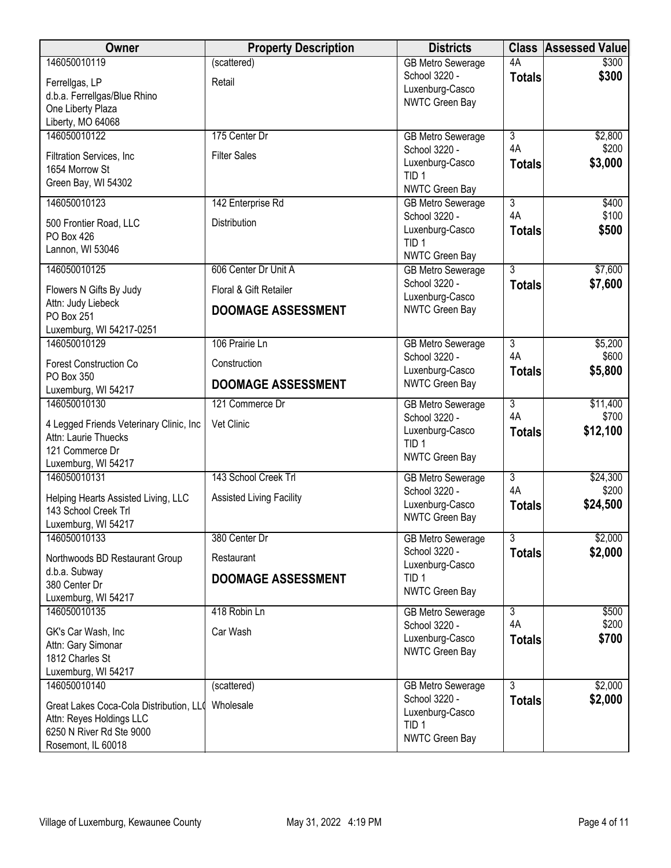| Owner                                    | <b>Property Description</b>     | <b>Districts</b>                          | <b>Class</b>         | Assessed Value |
|------------------------------------------|---------------------------------|-------------------------------------------|----------------------|----------------|
| 146050010119                             | (scattered)                     | <b>GB Metro Sewerage</b>                  | 4A                   | \$300          |
| Ferrellgas, LP                           | Retail                          | School 3220 -                             | <b>Totals</b>        | \$300          |
| d.b.a. Ferrellgas/Blue Rhino             |                                 | Luxenburg-Casco                           |                      |                |
| One Liberty Plaza                        |                                 | NWTC Green Bay                            |                      |                |
| Liberty, MO 64068                        |                                 |                                           |                      |                |
| 146050010122                             | 175 Center Dr                   | <b>GB Metro Sewerage</b>                  | $\overline{3}$       | \$2,800        |
| Filtration Services, Inc                 | <b>Filter Sales</b>             | School 3220 -                             | 4A                   | \$200          |
| 1654 Morrow St                           |                                 | Luxenburg-Casco                           | <b>Totals</b>        | \$3,000        |
| Green Bay, WI 54302                      |                                 | TID <sub>1</sub>                          |                      |                |
|                                          |                                 | NWTC Green Bay                            |                      |                |
| 146050010123                             | 142 Enterprise Rd               | <b>GB Metro Sewerage</b>                  | $\overline{3}$<br>4A | \$400<br>\$100 |
| 500 Frontier Road, LLC                   | Distribution                    | School 3220 -                             |                      | \$500          |
| PO Box 426                               |                                 | Luxenburg-Casco<br>TID <sub>1</sub>       | <b>Totals</b>        |                |
| Lannon, WI 53046                         |                                 | NWTC Green Bay                            |                      |                |
| 146050010125                             | 606 Center Dr Unit A            | <b>GB Metro Sewerage</b>                  | 3                    | \$7,600        |
|                                          |                                 | School 3220 -                             | <b>Totals</b>        | \$7,600        |
| Flowers N Gifts By Judy                  | Floral & Gift Retailer          | Luxenburg-Casco                           |                      |                |
| Attn: Judy Liebeck<br>PO Box 251         | <b>DOOMAGE ASSESSMENT</b>       | NWTC Green Bay                            |                      |                |
| Luxemburg, WI 54217-0251                 |                                 |                                           |                      |                |
| 146050010129                             | 106 Prairie Ln                  | <b>GB Metro Sewerage</b>                  | $\overline{3}$       | \$5,200        |
|                                          |                                 | School 3220 -                             | 4A                   | \$600          |
| <b>Forest Construction Co</b>            | Construction                    | Luxenburg-Casco                           | <b>Totals</b>        | \$5,800        |
| PO Box 350                               | <b>DOOMAGE ASSESSMENT</b>       | NWTC Green Bay                            |                      |                |
| Luxemburg, WI 54217<br>146050010130      | 121 Commerce Dr                 | <b>GB Metro Sewerage</b>                  | $\overline{3}$       | \$11,400       |
|                                          |                                 | School 3220 -                             | 4A                   | \$700          |
| 4 Legged Friends Veterinary Clinic, Inc. | Vet Clinic                      | Luxenburg-Casco                           | <b>Totals</b>        | \$12,100       |
| Attn: Laurie Thuecks                     |                                 | TID <sub>1</sub>                          |                      |                |
| 121 Commerce Dr                          |                                 | NWTC Green Bay                            |                      |                |
| Luxemburg, WI 54217<br>146050010131      | 143 School Creek Trl            | <b>GB Metro Sewerage</b>                  | $\overline{3}$       | \$24,300       |
|                                          |                                 | School 3220 -                             | 4A                   | \$200          |
| Helping Hearts Assisted Living, LLC      | <b>Assisted Living Facility</b> | Luxenburg-Casco                           | <b>Totals</b>        | \$24,500       |
| 143 School Creek Trl                     |                                 | NWTC Green Bay                            |                      |                |
| Luxemburg, WI 54217                      |                                 |                                           |                      |                |
| 146050010133                             | 380 Center Dr                   | <b>GB Metro Sewerage</b><br>School 3220 - | $\overline{3}$       | \$2,000        |
| Northwoods BD Restaurant Group           | Restaurant                      | Luxenburg-Casco                           | <b>Totals</b>        | \$2,000        |
| d.b.a. Subway                            | DOOMAGE ASSESSMENT              | TID <sub>1</sub>                          |                      |                |
| 380 Center Dr                            |                                 | NWTC Green Bay                            |                      |                |
| Luxemburg, WI 54217                      |                                 |                                           |                      |                |
| 146050010135                             | 418 Robin Ln                    | <b>GB Metro Sewerage</b>                  | 3<br>4A              | \$500<br>\$200 |
| GK's Car Wash, Inc                       | Car Wash                        | School 3220 -<br>Luxenburg-Casco          | <b>Totals</b>        | \$700          |
| Attn: Gary Simonar                       |                                 | NWTC Green Bay                            |                      |                |
| 1812 Charles St                          |                                 |                                           |                      |                |
| Luxemburg, WI 54217                      |                                 |                                           |                      |                |
| 146050010140                             | (scattered)                     | <b>GB Metro Sewerage</b>                  | $\overline{3}$       | \$2,000        |
| Great Lakes Coca-Cola Distribution, LLO  | Wholesale                       | School 3220 -                             | <b>Totals</b>        | \$2,000        |
| Attn: Reyes Holdings LLC                 |                                 | Luxenburg-Casco<br>TID <sub>1</sub>       |                      |                |
| 6250 N River Rd Ste 9000                 |                                 | NWTC Green Bay                            |                      |                |
| Rosemont, IL 60018                       |                                 |                                           |                      |                |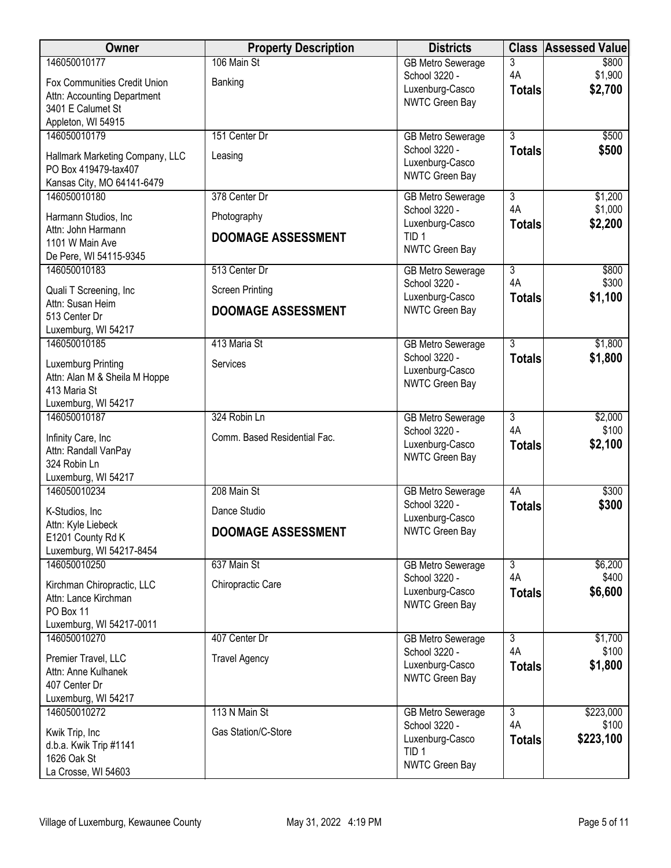| Owner                                                   | <b>Property Description</b>  | <b>Districts</b>                          | <b>Class</b>         | <b>Assessed Value</b> |
|---------------------------------------------------------|------------------------------|-------------------------------------------|----------------------|-----------------------|
| 146050010177                                            | 106 Main St                  | <b>GB Metro Sewerage</b>                  | 3                    | \$800                 |
| Fox Communities Credit Union                            | Banking                      | School 3220 -<br>Luxenburg-Casco          | 4A                   | \$1,900<br>\$2,700    |
| Attn: Accounting Department                             |                              | NWTC Green Bay                            | <b>Totals</b>        |                       |
| 3401 E Calumet St                                       |                              |                                           |                      |                       |
| Appleton, WI 54915<br>146050010179                      | 151 Center Dr                | <b>GB Metro Sewerage</b>                  | $\overline{3}$       | \$500                 |
|                                                         |                              | School 3220 -                             | <b>Totals</b>        | \$500                 |
| Hallmark Marketing Company, LLC<br>PO Box 419479-tax407 | Leasing                      | Luxenburg-Casco                           |                      |                       |
| Kansas City, MO 64141-6479                              |                              | NWTC Green Bay                            |                      |                       |
| 146050010180                                            | 378 Center Dr                | <b>GB Metro Sewerage</b>                  | $\overline{3}$       | \$1,200               |
| Harmann Studios, Inc.                                   | Photography                  | School 3220 -                             | 4A                   | \$1,000               |
| Attn: John Harmann                                      |                              | Luxenburg-Casco<br>TID <sub>1</sub>       | <b>Totals</b>        | \$2,200               |
| 1101 W Main Ave                                         | <b>DOOMAGE ASSESSMENT</b>    | NWTC Green Bay                            |                      |                       |
| De Pere, WI 54115-9345                                  |                              |                                           |                      |                       |
| 146050010183                                            | 513 Center Dr                | <b>GB Metro Sewerage</b><br>School 3220 - | $\overline{3}$<br>4A | \$800<br>\$300        |
| Quali T Screening, Inc                                  | <b>Screen Printing</b>       | Luxenburg-Casco                           | <b>Totals</b>        | \$1,100               |
| Attn: Susan Heim<br>513 Center Dr                       | <b>DOOMAGE ASSESSMENT</b>    | NWTC Green Bay                            |                      |                       |
| Luxemburg, WI 54217                                     |                              |                                           |                      |                       |
| 146050010185                                            | 413 Maria St                 | <b>GB Metro Sewerage</b>                  | $\overline{3}$       | \$1,800               |
| Luxemburg Printing                                      | Services                     | School 3220 -                             | <b>Totals</b>        | \$1,800               |
| Attn: Alan M & Sheila M Hoppe                           |                              | Luxenburg-Casco                           |                      |                       |
| 413 Maria St                                            |                              | NWTC Green Bay                            |                      |                       |
| Luxemburg, WI 54217                                     |                              |                                           |                      |                       |
| 146050010187                                            | 324 Robin Ln                 | <b>GB Metro Sewerage</b><br>School 3220 - | $\overline{3}$<br>4A | \$2,000<br>\$100      |
| Infinity Care, Inc                                      | Comm. Based Residential Fac. | Luxenburg-Casco                           | <b>Totals</b>        | \$2,100               |
| Attn: Randall VanPay<br>324 Robin Ln                    |                              | NWTC Green Bay                            |                      |                       |
| Luxemburg, WI 54217                                     |                              |                                           |                      |                       |
| 146050010234                                            | 208 Main St                  | <b>GB Metro Sewerage</b>                  | 4A                   | \$300                 |
| K-Studios, Inc                                          | Dance Studio                 | School 3220 -                             | <b>Totals</b>        | \$300                 |
| Attn: Kyle Liebeck                                      | <b>DOOMAGE ASSESSMENT</b>    | Luxenburg-Casco<br>NWTC Green Bay         |                      |                       |
| E1201 County Rd K                                       |                              |                                           |                      |                       |
| Luxemburg, WI 54217-8454<br>146050010250                | 637 Main St                  | <b>GB Metro Sewerage</b>                  | $\overline{3}$       | \$6,200               |
|                                                         |                              | School 3220 -                             | 4A                   | \$400                 |
| Kirchman Chiropractic, LLC<br>Attn: Lance Kirchman      | Chiropractic Care            | Luxenburg-Casco                           | <b>Totals</b>        | \$6,600               |
| PO Box 11                                               |                              | NWTC Green Bay                            |                      |                       |
| Luxemburg, WI 54217-0011                                |                              |                                           |                      |                       |
| 146050010270                                            | 407 Center Dr                | <b>GB Metro Sewerage</b>                  | $\overline{3}$       | \$1,700               |
| Premier Travel, LLC                                     | <b>Travel Agency</b>         | School 3220 -                             | 4A                   | \$100                 |
| Attn: Anne Kulhanek                                     |                              | Luxenburg-Casco<br>NWTC Green Bay         | <b>Totals</b>        | \$1,800               |
| 407 Center Dr                                           |                              |                                           |                      |                       |
| Luxemburg, WI 54217<br>146050010272                     | 113 N Main St                | <b>GB Metro Sewerage</b>                  | $\overline{3}$       | \$223,000             |
|                                                         |                              | School 3220 -                             | 4A                   | \$100                 |
| Kwik Trip, Inc<br>d.b.a. Kwik Trip #1141                | Gas Station/C-Store          | Luxenburg-Casco                           | <b>Totals</b>        | \$223,100             |
| 1626 Oak St                                             |                              | TID <sub>1</sub>                          |                      |                       |
| La Crosse, WI 54603                                     |                              | NWTC Green Bay                            |                      |                       |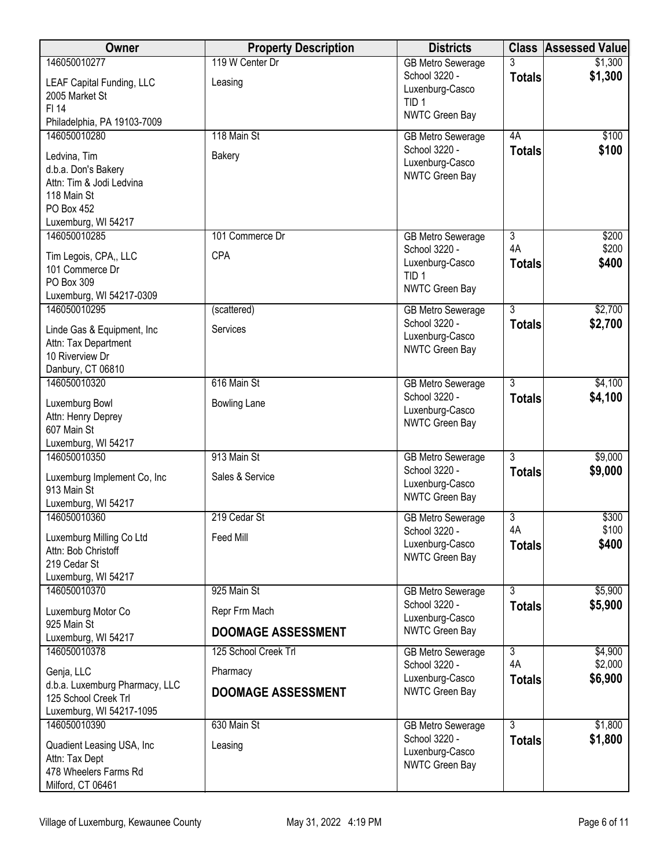| <b>Owner</b>                                     | <b>Property Description</b> | <b>Districts</b>                          |                           | <b>Class Assessed Value</b> |
|--------------------------------------------------|-----------------------------|-------------------------------------------|---------------------------|-----------------------------|
| 146050010277                                     | 119 W Center Dr             | <b>GB Metro Sewerage</b><br>School 3220 - |                           | \$1,300                     |
| LEAF Capital Funding, LLC                        | Leasing                     | Luxenburg-Casco                           | <b>Totals</b>             | \$1,300                     |
| 2005 Market St<br>FI 14                          |                             | TID <sub>1</sub>                          |                           |                             |
| Philadelphia, PA 19103-7009                      |                             | NWTC Green Bay                            |                           |                             |
| 146050010280                                     | 118 Main St                 | <b>GB Metro Sewerage</b>                  | 4A                        | \$100                       |
| Ledvina, Tim                                     | Bakery                      | School 3220 -<br>Luxenburg-Casco          | <b>Totals</b>             | \$100                       |
| d.b.a. Don's Bakery                              |                             | NWTC Green Bay                            |                           |                             |
| Attn: Tim & Jodi Ledvina<br>118 Main St          |                             |                                           |                           |                             |
| PO Box 452                                       |                             |                                           |                           |                             |
| Luxemburg, WI 54217                              |                             |                                           |                           |                             |
| 146050010285                                     | 101 Commerce Dr             | <b>GB Metro Sewerage</b><br>School 3220 - | $\overline{3}$<br>4A      | \$200<br>\$200              |
| Tim Legois, CPA,, LLC                            | CPA                         | Luxenburg-Casco                           | <b>Totals</b>             | \$400                       |
| 101 Commerce Dr<br>PO Box 309                    |                             | TID <sub>1</sub>                          |                           |                             |
| Luxemburg, WI 54217-0309                         |                             | NWTC Green Bay                            |                           |                             |
| 146050010295                                     | (scattered)                 | <b>GB Metro Sewerage</b>                  | $\overline{3}$            | \$2,700                     |
| Linde Gas & Equipment, Inc                       | Services                    | School 3220 -<br>Luxenburg-Casco          | <b>Totals</b>             | \$2,700                     |
| Attn: Tax Department                             |                             | <b>NWTC Green Bay</b>                     |                           |                             |
| 10 Riverview Dr<br>Danbury, CT 06810             |                             |                                           |                           |                             |
| 146050010320                                     | 616 Main St                 | <b>GB Metro Sewerage</b>                  | $\overline{3}$            | \$4,100                     |
| Luxemburg Bowl                                   | <b>Bowling Lane</b>         | School 3220 -                             | <b>Totals</b>             | \$4,100                     |
| Attn: Henry Deprey                               |                             | Luxenburg-Casco<br>NWTC Green Bay         |                           |                             |
| 607 Main St                                      |                             |                                           |                           |                             |
| Luxemburg, WI 54217<br>146050010350              | 913 Main St                 | <b>GB Metro Sewerage</b>                  | $\overline{3}$            | \$9,000                     |
| Luxemburg Implement Co, Inc                      | Sales & Service             | School 3220 -                             | <b>Totals</b>             | \$9,000                     |
| 913 Main St                                      |                             | Luxenburg-Casco                           |                           |                             |
| Luxemburg, WI 54217                              |                             | NWTC Green Bay                            |                           |                             |
| 146050010360                                     | 219 Cedar St                | <b>GB Metro Sewerage</b><br>School 3220 - | $\overline{3}$<br>4A      | \$300<br>\$100              |
| Luxemburg Milling Co Ltd                         | <b>Feed Mill</b>            | Luxenburg-Casco                           | <b>Totals</b>             | \$400                       |
| Attn: Bob Christoff<br>219 Cedar St              |                             | NWTC Green Bay                            |                           |                             |
| Luxemburg, WI 54217                              |                             |                                           |                           |                             |
| 146050010370                                     | 925 Main St                 | <b>GB Metro Sewerage</b>                  | $\overline{\overline{3}}$ | \$5,900                     |
| Luxemburg Motor Co                               | Repr Frm Mach               | School 3220 -<br>Luxenburg-Casco          | <b>Totals</b>             | \$5,900                     |
| 925 Main St<br>Luxemburg, WI 54217               | <b>DOOMAGE ASSESSMENT</b>   | NWTC Green Bay                            |                           |                             |
| 146050010378                                     | 125 School Creek Trl        | <b>GB Metro Sewerage</b>                  | $\overline{3}$            | \$4,900                     |
| Genja, LLC                                       | Pharmacy                    | School 3220 -<br>Luxenburg-Casco          | 4A                        | \$2,000                     |
| d.b.a. Luxemburg Pharmacy, LLC                   | <b>DOOMAGE ASSESSMENT</b>   | NWTC Green Bay                            | <b>Totals</b>             | \$6,900                     |
| 125 School Creek Trl<br>Luxemburg, WI 54217-1095 |                             |                                           |                           |                             |
| 146050010390                                     | 630 Main St                 | <b>GB Metro Sewerage</b>                  | $\overline{3}$            | \$1,800                     |
| Quadient Leasing USA, Inc                        | Leasing                     | School 3220 -                             | <b>Totals</b>             | \$1,800                     |
| Attn: Tax Dept                                   |                             | Luxenburg-Casco<br>NWTC Green Bay         |                           |                             |
| 478 Wheelers Farms Rd                            |                             |                                           |                           |                             |
| Milford, CT 06461                                |                             |                                           |                           |                             |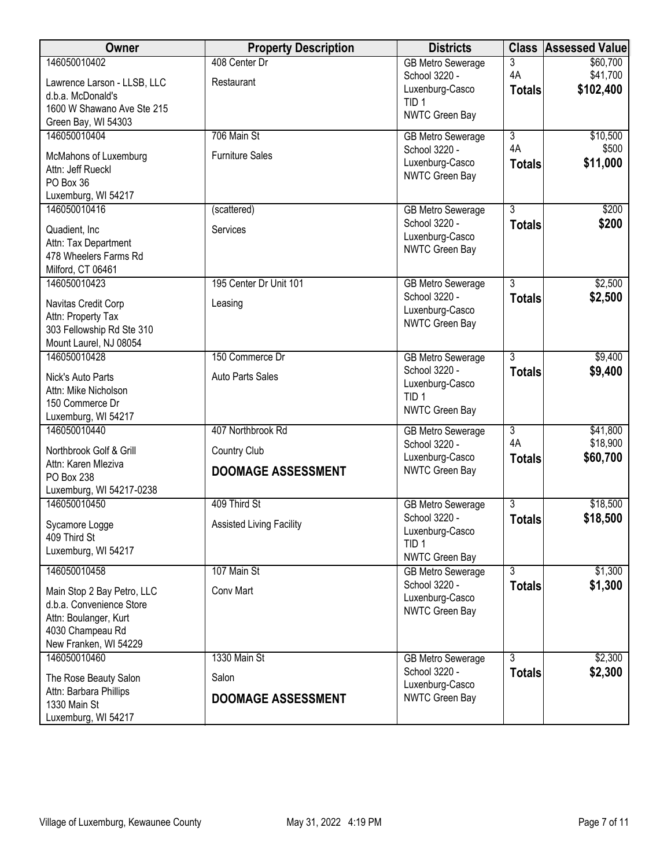| Owner                                           | <b>Property Description</b>     | <b>Districts</b>                           | <b>Class</b>                    | <b>Assessed Value</b> |
|-------------------------------------------------|---------------------------------|--------------------------------------------|---------------------------------|-----------------------|
| 146050010402<br>Lawrence Larson - LLSB, LLC     | 408 Center Dr<br>Restaurant     | <b>GB Metro Sewerage</b><br>School 3220 -  | $\overline{3}$<br>4A            | \$60,700<br>\$41,700  |
| d.b.a. McDonald's<br>1600 W Shawano Ave Ste 215 |                                 | Luxenburg-Casco<br>TID <sub>1</sub>        | <b>Totals</b>                   | \$102,400             |
| Green Bay, WI 54303                             |                                 | NWTC Green Bay                             |                                 |                       |
| 146050010404                                    | 706 Main St                     | <b>GB Metro Sewerage</b><br>School 3220 -  | 3<br>4A                         | \$10,500<br>\$500     |
| McMahons of Luxemburg                           | <b>Furniture Sales</b>          | Luxenburg-Casco                            | <b>Totals</b>                   | \$11,000              |
| Attn: Jeff Rueckl<br>PO Box 36                  |                                 | NWTC Green Bay                             |                                 |                       |
| Luxemburg, WI 54217                             |                                 |                                            |                                 |                       |
| 146050010416                                    | (scattered)                     | <b>GB Metro Sewerage</b><br>School 3220 -  | $\overline{3}$<br><b>Totals</b> | \$200<br>\$200        |
| Quadient, Inc.<br>Attn: Tax Department          | Services                        | Luxenburg-Casco                            |                                 |                       |
| 478 Wheelers Farms Rd                           |                                 | NWTC Green Bay                             |                                 |                       |
| Milford, CT 06461                               |                                 |                                            |                                 |                       |
| 146050010423                                    | 195 Center Dr Unit 101          | <b>GB Metro Sewerage</b><br>School 3220 -  | $\overline{3}$<br><b>Totals</b> | \$2,500<br>\$2,500    |
| Navitas Credit Corp<br>Attn: Property Tax       | Leasing                         | Luxenburg-Casco                            |                                 |                       |
| 303 Fellowship Rd Ste 310                       |                                 | NWTC Green Bay                             |                                 |                       |
| Mount Laurel, NJ 08054                          |                                 |                                            |                                 |                       |
| 146050010428                                    | 150 Commerce Dr                 | <b>GB Metro Sewerage</b><br>School 3220 -  | $\overline{3}$<br><b>Totals</b> | \$9,400<br>\$9,400    |
| Nick's Auto Parts<br>Attn: Mike Nicholson       | Auto Parts Sales                | Luxenburg-Casco                            |                                 |                       |
| 150 Commerce Dr                                 |                                 | TID <sub>1</sub><br>NWTC Green Bay         |                                 |                       |
| Luxemburg, WI 54217                             |                                 |                                            |                                 |                       |
| 146050010440                                    | 407 Northbrook Rd               | <b>GB Metro Sewerage</b><br>School 3220 -  | $\overline{3}$<br>4A            | \$41,800<br>\$18,900  |
| Northbrook Golf & Grill<br>Attn: Karen Mleziva  | Country Club                    | Luxenburg-Casco                            | <b>Totals</b>                   | \$60,700              |
| PO Box 238                                      | <b>DOOMAGE ASSESSMENT</b>       | NWTC Green Bay                             |                                 |                       |
| Luxemburg, WI 54217-0238                        |                                 |                                            |                                 |                       |
| 146050010450                                    | 409 Third St                    | <b>GB Metro Sewerage</b><br>School 3220 -  | $\overline{3}$<br><b>Totals</b> | \$18,500<br>\$18,500  |
| Sycamore Logge<br>409 Third St                  | <b>Assisted Living Facility</b> | Luxenburg-Casco                            |                                 |                       |
| Luxemburg, WI 54217                             |                                 | TID <sub>1</sub>                           |                                 |                       |
| 146050010458                                    | 107 Main St                     | NWTC Green Bay<br><b>GB Metro Sewerage</b> | 3                               | \$1,300               |
| Main Stop 2 Bay Petro, LLC                      | Conv Mart                       | School 3220 -                              | <b>Totals</b>                   | \$1,300               |
| d.b.a. Convenience Store                        |                                 | Luxenburg-Casco<br>NWTC Green Bay          |                                 |                       |
| Attn: Boulanger, Kurt<br>4030 Champeau Rd       |                                 |                                            |                                 |                       |
| New Franken, WI 54229                           |                                 |                                            |                                 |                       |
| 146050010460                                    | 1330 Main St                    | <b>GB Metro Sewerage</b>                   | 3                               | \$2,300               |
| The Rose Beauty Salon                           | Salon                           | School 3220 -<br>Luxenburg-Casco           | <b>Totals</b>                   | \$2,300               |
| Attn: Barbara Phillips<br>1330 Main St          | DOOMAGE ASSESSMENT              | NWTC Green Bay                             |                                 |                       |
| Luxemburg, WI 54217                             |                                 |                                            |                                 |                       |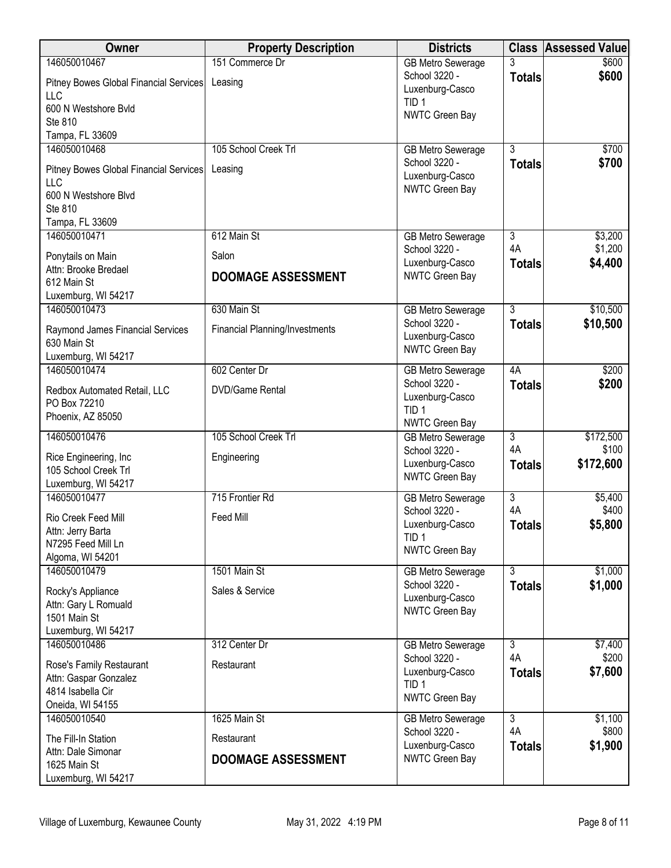| Owner                                         | <b>Property Description</b>           | <b>Districts</b>                          | <b>Class</b>         | <b>Assessed Value</b> |
|-----------------------------------------------|---------------------------------------|-------------------------------------------|----------------------|-----------------------|
| 146050010467                                  | 151 Commerce Dr                       | <b>GB Metro Sewerage</b>                  |                      | \$600                 |
| Pitney Bowes Global Financial Services        | Leasing                               | School 3220 -<br>Luxenburg-Casco          | <b>Totals</b>        | \$600                 |
| LLC                                           |                                       | TID <sub>1</sub>                          |                      |                       |
| 600 N Westshore Bvld                          |                                       | NWTC Green Bay                            |                      |                       |
| Ste 810<br>Tampa, FL 33609                    |                                       |                                           |                      |                       |
| 146050010468                                  | 105 School Creek Trl                  | <b>GB Metro Sewerage</b>                  | 3                    | \$700                 |
|                                               |                                       | School 3220 -                             | <b>Totals</b>        | \$700                 |
| Pitney Bowes Global Financial Services<br>LLC | Leasing                               | Luxenburg-Casco                           |                      |                       |
| 600 N Westshore Blvd                          |                                       | NWTC Green Bay                            |                      |                       |
| Ste 810                                       |                                       |                                           |                      |                       |
| Tampa, FL 33609                               |                                       |                                           |                      |                       |
| 146050010471                                  | 612 Main St                           | <b>GB Metro Sewerage</b>                  | $\overline{3}$       | \$3,200               |
| Ponytails on Main                             | Salon                                 | School 3220 -                             | 4A                   | \$1,200               |
| Attn: Brooke Bredael                          | <b>DOOMAGE ASSESSMENT</b>             | Luxenburg-Casco<br>NWTC Green Bay         | <b>Totals</b>        | \$4,400               |
| 612 Main St                                   |                                       |                                           |                      |                       |
| Luxemburg, WI 54217<br>146050010473           | 630 Main St                           |                                           | $\overline{3}$       |                       |
|                                               |                                       | <b>GB Metro Sewerage</b><br>School 3220 - | <b>Totals</b>        | \$10,500<br>\$10,500  |
| Raymond James Financial Services              | <b>Financial Planning/Investments</b> | Luxenburg-Casco                           |                      |                       |
| 630 Main St<br>Luxemburg, WI 54217            |                                       | NWTC Green Bay                            |                      |                       |
| 146050010474                                  | 602 Center Dr                         | <b>GB Metro Sewerage</b>                  | 4A                   | \$200                 |
|                                               |                                       | School 3220 -                             | <b>Totals</b>        | \$200                 |
| Redbox Automated Retail, LLC<br>PO Box 72210  | <b>DVD/Game Rental</b>                | Luxenburg-Casco                           |                      |                       |
| Phoenix, AZ 85050                             |                                       | TID <sub>1</sub>                          |                      |                       |
|                                               | 105 School Creek Trl                  | NWTC Green Bay                            | $\overline{3}$       |                       |
| 146050010476                                  |                                       | <b>GB</b> Metro Sewerage<br>School 3220 - | 4A                   | \$172,500<br>\$100    |
| Rice Engineering, Inc                         | Engineering                           | Luxenburg-Casco                           | <b>Totals</b>        | \$172,600             |
| 105 School Creek Trl<br>Luxemburg, WI 54217   |                                       | NWTC Green Bay                            |                      |                       |
| 146050010477                                  | 715 Frontier Rd                       | <b>GB Metro Sewerage</b>                  | $\overline{3}$       | \$5,400               |
|                                               |                                       | School 3220 -                             | 4A                   | \$400                 |
| Rio Creek Feed Mill<br>Attn: Jerry Barta      | Feed Mill                             | Luxenburg-Casco                           | <b>Totals</b>        | \$5,800               |
| N7295 Feed Mill Ln                            |                                       | TID <sub>1</sub>                          |                      |                       |
| Algoma, WI 54201                              |                                       | NWTC Green Bay                            |                      |                       |
| 146050010479                                  | 1501 Main St                          | GB Metro Sewerage                         | $\overline{3}$       | \$1,000               |
| Rocky's Appliance                             | Sales & Service                       | School 3220 -                             | <b>Totals</b>        | \$1,000               |
| Attn: Gary L Romuald                          |                                       | Luxenburg-Casco<br>NWTC Green Bay         |                      |                       |
| 1501 Main St                                  |                                       |                                           |                      |                       |
| Luxemburg, WI 54217                           | 312 Center Dr                         |                                           |                      |                       |
| 146050010486                                  |                                       | <b>GB Metro Sewerage</b><br>School 3220 - | $\overline{3}$<br>4A | \$7,400<br>\$200      |
| Rose's Family Restaurant                      | Restaurant                            | Luxenburg-Casco                           | <b>Totals</b>        | \$7,600               |
| Attn: Gaspar Gonzalez<br>4814 Isabella Cir    |                                       | TID <sub>1</sub>                          |                      |                       |
| Oneida, WI 54155                              |                                       | NWTC Green Bay                            |                      |                       |
| 146050010540                                  | 1625 Main St                          | <b>GB Metro Sewerage</b>                  | $\overline{3}$       | \$1,100               |
| The Fill-In Station                           | Restaurant                            | School 3220 -                             | 4A                   | \$800                 |
| Attn: Dale Simonar                            |                                       | Luxenburg-Casco                           | <b>Totals</b>        | \$1,900               |
| 1625 Main St                                  | <b>DOOMAGE ASSESSMENT</b>             | NWTC Green Bay                            |                      |                       |
| Luxemburg, WI 54217                           |                                       |                                           |                      |                       |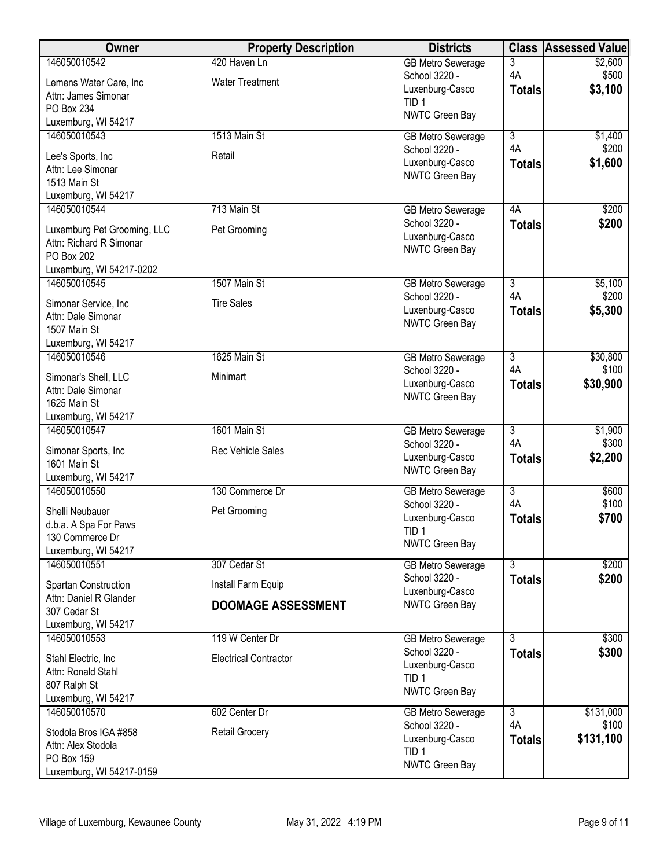| Owner                                      | <b>Property Description</b>  | <b>Districts</b>                          | <b>Class</b>                    | <b>Assessed Value</b> |
|--------------------------------------------|------------------------------|-------------------------------------------|---------------------------------|-----------------------|
| 146050010542                               | 420 Haven Ln                 | <b>GB Metro Sewerage</b>                  | 3                               | \$2,600               |
| Lemens Water Care, Inc                     | <b>Water Treatment</b>       | School 3220 -<br>Luxenburg-Casco          | 4A                              | \$500<br>\$3,100      |
| Attn: James Simonar                        |                              | TID <sub>1</sub>                          | <b>Totals</b>                   |                       |
| PO Box 234<br>Luxemburg, WI 54217          |                              | NWTC Green Bay                            |                                 |                       |
| 146050010543                               | 1513 Main St                 | <b>GB Metro Sewerage</b>                  | $\overline{3}$                  | \$1,400               |
|                                            |                              | School 3220 -                             | 4A                              | \$200                 |
| Lee's Sports, Inc<br>Attn: Lee Simonar     | Retail                       | Luxenburg-Casco                           | <b>Totals</b>                   | \$1,600               |
| 1513 Main St                               |                              | NWTC Green Bay                            |                                 |                       |
| Luxemburg, WI 54217                        |                              |                                           |                                 |                       |
| 146050010544                               | 713 Main St                  | <b>GB Metro Sewerage</b>                  | 4A                              | \$200                 |
| Luxemburg Pet Grooming, LLC                | Pet Grooming                 | School 3220 -                             | <b>Totals</b>                   | \$200                 |
| Attn: Richard R Simonar                    |                              | Luxenburg-Casco<br>NWTC Green Bay         |                                 |                       |
| PO Box 202                                 |                              |                                           |                                 |                       |
| Luxemburg, WI 54217-0202<br>146050010545   | 1507 Main St                 | <b>GB Metro Sewerage</b>                  | $\overline{3}$                  | \$5,100               |
|                                            |                              | School 3220 -                             | 4A                              | \$200                 |
| Simonar Service, Inc<br>Attn: Dale Simonar | <b>Tire Sales</b>            | Luxenburg-Casco                           | <b>Totals</b>                   | \$5,300               |
| 1507 Main St                               |                              | NWTC Green Bay                            |                                 |                       |
| Luxemburg, WI 54217                        |                              |                                           |                                 |                       |
| 146050010546                               | 1625 Main St                 | <b>GB Metro Sewerage</b>                  | $\overline{3}$                  | \$30,800              |
| Simonar's Shell, LLC                       | Minimart                     | School 3220 -                             | 4A                              | \$100                 |
| Attn: Dale Simonar                         |                              | Luxenburg-Casco<br>NWTC Green Bay         | <b>Totals</b>                   | \$30,900              |
| 1625 Main St                               |                              |                                           |                                 |                       |
| Luxemburg, WI 54217<br>146050010547        | 1601 Main St                 | <b>GB Metro Sewerage</b>                  | $\overline{3}$                  | \$1,900               |
|                                            |                              | School 3220 -                             | 4A                              | \$300                 |
| Simonar Sports, Inc<br>1601 Main St        | <b>Rec Vehicle Sales</b>     | Luxenburg-Casco                           | <b>Totals</b>                   | \$2,200               |
| Luxemburg, WI 54217                        |                              | NWTC Green Bay                            |                                 |                       |
| 146050010550                               | 130 Commerce Dr              | <b>GB Metro Sewerage</b>                  | $\overline{3}$                  | \$600                 |
| Shelli Neubauer                            | Pet Grooming                 | School 3220 -                             | 4A                              | \$100                 |
| d.b.a. A Spa For Paws                      |                              | Luxenburg-Casco                           | <b>Totals</b>                   | \$700                 |
| 130 Commerce Dr                            |                              | TID <sub>1</sub><br>NWTC Green Bay        |                                 |                       |
| Luxemburg, WI 54217                        |                              |                                           |                                 |                       |
| 146050010551                               | 307 Cedar St                 | <b>GB Metro Sewerage</b><br>School 3220 - | $\overline{3}$<br><b>Totals</b> | \$200<br>\$200        |
| Spartan Construction                       | Install Farm Equip           | Luxenburg-Casco                           |                                 |                       |
| Attn: Daniel R Glander<br>307 Cedar St     | <b>DOOMAGE ASSESSMENT</b>    | NWTC Green Bay                            |                                 |                       |
| Luxemburg, WI 54217                        |                              |                                           |                                 |                       |
| 146050010553                               | 119 W Center Dr              | <b>GB Metro Sewerage</b>                  | $\overline{3}$                  | \$300                 |
| Stahl Electric, Inc.                       | <b>Electrical Contractor</b> | School 3220 -                             | <b>Totals</b>                   | \$300                 |
| Attn: Ronald Stahl                         |                              | Luxenburg-Casco<br>TID <sub>1</sub>       |                                 |                       |
| 807 Ralph St                               |                              | NWTC Green Bay                            |                                 |                       |
| Luxemburg, WI 54217                        |                              |                                           |                                 |                       |
| 146050010570                               | 602 Center Dr                | <b>GB Metro Sewerage</b><br>School 3220 - | $\overline{3}$<br>4A            | \$131,000<br>\$100    |
| Stodola Bros IGA #858                      | Retail Grocery               | Luxenburg-Casco                           | <b>Totals</b>                   | \$131,100             |
| Attn: Alex Stodola<br>PO Box 159           |                              | TID <sub>1</sub>                          |                                 |                       |
| Luxemburg, WI 54217-0159                   |                              | NWTC Green Bay                            |                                 |                       |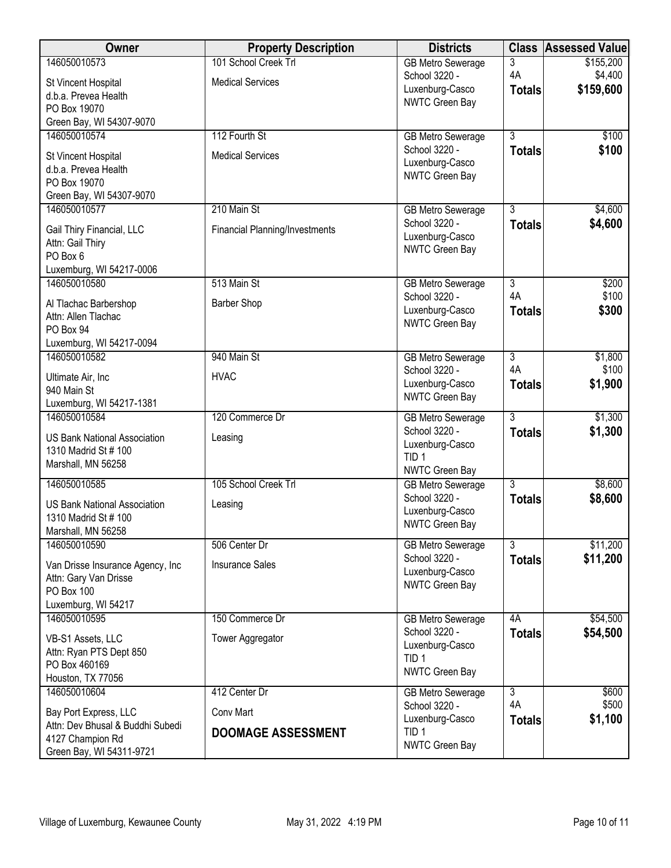| <b>Owner</b>                                                | <b>Property Description</b>           | <b>Districts</b>                          | <b>Class</b>        | <b>Assessed Value</b> |
|-------------------------------------------------------------|---------------------------------------|-------------------------------------------|---------------------|-----------------------|
| 146050010573                                                | 101 School Creek Trl                  | <b>GB Metro Sewerage</b>                  | 3                   | \$155,200             |
| St Vincent Hospital                                         | <b>Medical Services</b>               | School 3220 -<br>Luxenburg-Casco          | 4A<br><b>Totals</b> | \$4,400<br>\$159,600  |
| d.b.a. Prevea Health                                        |                                       | NWTC Green Bay                            |                     |                       |
| PO Box 19070                                                |                                       |                                           |                     |                       |
| Green Bay, WI 54307-9070<br>146050010574                    | 112 Fourth St                         | <b>GB Metro Sewerage</b>                  | $\overline{3}$      | \$100                 |
|                                                             |                                       | School 3220 -                             | <b>Totals</b>       | \$100                 |
| St Vincent Hospital                                         | <b>Medical Services</b>               | Luxenburg-Casco                           |                     |                       |
| d.b.a. Prevea Health                                        |                                       | NWTC Green Bay                            |                     |                       |
| PO Box 19070                                                |                                       |                                           |                     |                       |
| Green Bay, WI 54307-9070<br>146050010577                    | 210 Main St                           |                                           | $\overline{3}$      | \$4,600               |
|                                                             |                                       | <b>GB Metro Sewerage</b><br>School 3220 - | <b>Totals</b>       | \$4,600               |
| Gail Thiry Financial, LLC                                   | <b>Financial Planning/Investments</b> | Luxenburg-Casco                           |                     |                       |
| Attn: Gail Thiry                                            |                                       | NWTC Green Bay                            |                     |                       |
| PO Box 6                                                    |                                       |                                           |                     |                       |
| Luxemburg, WI 54217-0006<br>146050010580                    | 513 Main St                           |                                           | $\overline{3}$      | \$200                 |
|                                                             |                                       | <b>GB Metro Sewerage</b><br>School 3220 - | 4A                  | \$100                 |
| Al Tlachac Barbershop                                       | <b>Barber Shop</b>                    | Luxenburg-Casco                           | <b>Totals</b>       | \$300                 |
| Attn: Allen Tlachac                                         |                                       | NWTC Green Bay                            |                     |                       |
| PO Box 94<br>Luxemburg, WI 54217-0094                       |                                       |                                           |                     |                       |
| 146050010582                                                | 940 Main St                           | <b>GB Metro Sewerage</b>                  | $\overline{3}$      | \$1,800               |
|                                                             |                                       | School 3220 -                             | 4A                  | \$100                 |
| Ultimate Air, Inc<br>940 Main St                            | <b>HVAC</b>                           | Luxenburg-Casco                           | <b>Totals</b>       | \$1,900               |
| Luxemburg, WI 54217-1381                                    |                                       | NWTC Green Bay                            |                     |                       |
| 146050010584                                                | 120 Commerce Dr                       | <b>GB Metro Sewerage</b>                  | $\overline{3}$      | \$1,300               |
|                                                             |                                       | School 3220 -                             | <b>Totals</b>       | \$1,300               |
| <b>US Bank National Association</b><br>1310 Madrid St # 100 | Leasing                               | Luxenburg-Casco                           |                     |                       |
| Marshall, MN 56258                                          |                                       | TID <sub>1</sub>                          |                     |                       |
|                                                             |                                       | NWTC Green Bay                            |                     |                       |
| 146050010585                                                | 105 School Creek Trl                  | <b>GB Metro Sewerage</b><br>School 3220 - | $\overline{3}$      | \$8,600               |
| <b>US Bank National Association</b>                         | Leasing                               | Luxenburg-Casco                           | <b>Totals</b>       | \$8,600               |
| 1310 Madrid St # 100                                        |                                       | <b>NWTC Green Bay</b>                     |                     |                       |
| Marshall, MN 56258                                          |                                       |                                           |                     |                       |
| 146050010590                                                | 506 Center Dr                         | GB Metro Sewerage<br>School 3220 -        | $\overline{3}$      | \$11,200              |
| Van Drisse Insurance Agency, Inc                            | <b>Insurance Sales</b>                | Luxenburg-Casco                           | <b>Totals</b>       | \$11,200              |
| Attn: Gary Van Drisse                                       |                                       | NWTC Green Bay                            |                     |                       |
| <b>PO Box 100</b>                                           |                                       |                                           |                     |                       |
| Luxemburg, WI 54217<br>146050010595                         | 150 Commerce Dr                       |                                           | 4A                  | \$54,500              |
|                                                             |                                       | <b>GB Metro Sewerage</b><br>School 3220 - | <b>Totals</b>       | \$54,500              |
| VB-S1 Assets, LLC                                           | Tower Aggregator                      | Luxenburg-Casco                           |                     |                       |
| Attn: Ryan PTS Dept 850                                     |                                       | TID <sub>1</sub>                          |                     |                       |
| PO Box 460169                                               |                                       | NWTC Green Bay                            |                     |                       |
| Houston, TX 77056<br>146050010604                           | 412 Center Dr                         | <b>GB Metro Sewerage</b>                  | $\overline{3}$      | \$600                 |
|                                                             |                                       | School 3220 -                             | 4A                  | \$500                 |
| Bay Port Express, LLC                                       | Conv Mart                             | Luxenburg-Casco                           | <b>Totals</b>       | \$1,100               |
| Attn: Dev Bhusal & Buddhi Subedi<br>4127 Champion Rd        | <b>DOOMAGE ASSESSMENT</b>             | TID <sub>1</sub>                          |                     |                       |
| Green Bay, WI 54311-9721                                    |                                       | NWTC Green Bay                            |                     |                       |